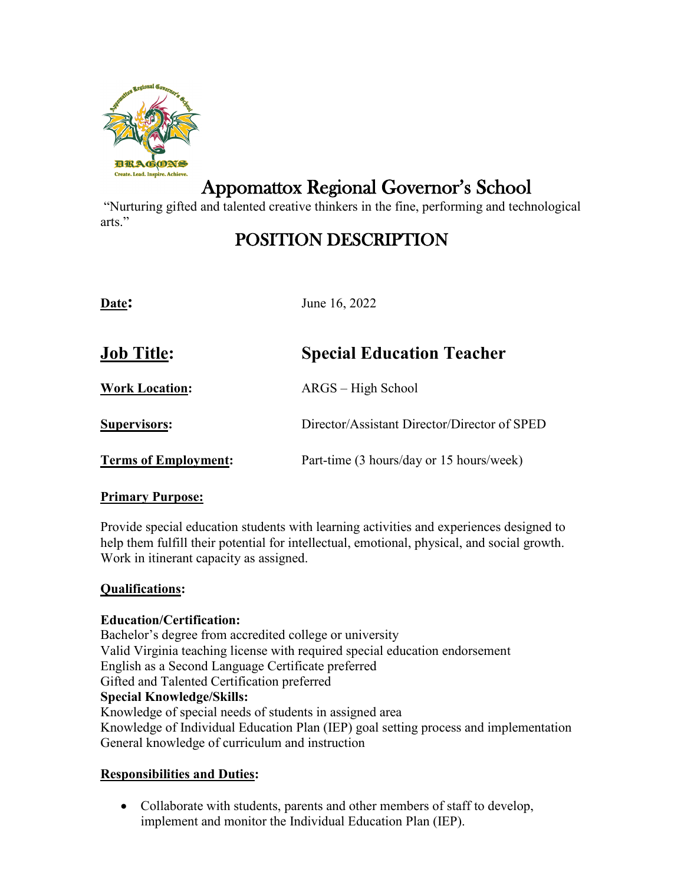

# Appomattox Regional Governor's School

"Nurturing gifted and talented creative thinkers in the fine, performing and technological arts."

# POSITION DESCRIPTION

| Date:                       | June 16, 2022                                |
|-----------------------------|----------------------------------------------|
| <b>Job Title:</b>           | <b>Special Education Teacher</b>             |
| <b>Work Location:</b>       | ARGS – High School                           |
| Supervisors:                | Director/Assistant Director/Director of SPED |
| <b>Terms of Employment:</b> | Part-time (3 hours/day or 15 hours/week)     |

#### **Primary Purpose:**

Provide special education students with learning activities and experiences designed to help them fulfill their potential for intellectual, emotional, physical, and social growth. Work in itinerant capacity as assigned.

# **Qualifications:**

# **Education/Certification:**

Bachelor's degree from accredited college or university Valid Virginia teaching license with required special education endorsement English as a Second Language Certificate preferred Gifted and Talented Certification preferred **Special Knowledge/Skills:** Knowledge of special needs of students in assigned area Knowledge of Individual Education Plan (IEP) goal setting process and implementation General knowledge of curriculum and instruction

# **Responsibilities and Duties:**

• Collaborate with students, parents and other members of staff to develop, implement and monitor the Individual Education Plan (IEP).